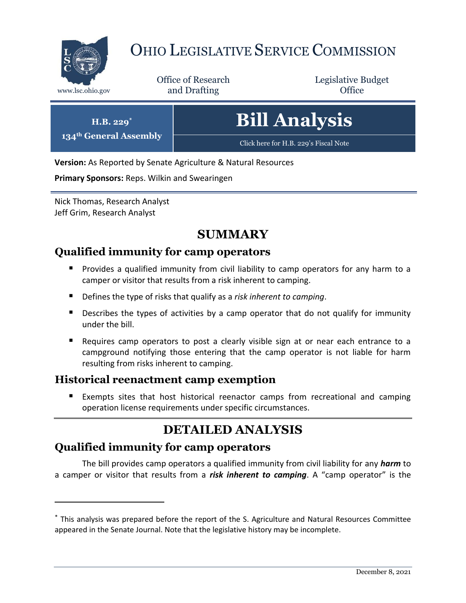

 $134^\text{th}$  G

 $\overline{a}$ 

# OHIO LEGISLATIVE SERVICE COMMISSION

Office of Research www.lsc.ohio.gov **and Drafting Office** 

Legislative Budget

| $H.B. 229*$<br>eneral Assembly | <b>Bill Analysis</b>                  |
|--------------------------------|---------------------------------------|
|                                | Click here for H.B. 229's Fiscal Note |

**Version:** As Reported by Senate Agriculture & Natural Resources

**Primary Sponsors:** Reps. Wilkin and Swearingen

Nick Thomas, Research Analyst Jeff Grim, Research Analyst

### **SUMMARY**

#### **Qualified immunity for camp operators**

- **Provides a qualified immunity from civil liability to camp operators for any harm to a** camper or visitor that results from a risk inherent to camping.
- Defines the type of risks that qualify as a *risk inherent to camping*.
- **Describes the types of activities by a camp operator that do not qualify for immunity** under the bill.
- Requires camp operators to post a clearly visible sign at or near each entrance to a campground notifying those entering that the camp operator is not liable for harm resulting from risks inherent to camping.

#### **Historical reenactment camp exemption**

 Exempts sites that host historical reenactor camps from recreational and camping operation license requirements under specific circumstances.

## **DETAILED ANALYSIS**

#### **Qualified immunity for camp operators**

The bill provides camp operators a qualified immunity from civil liability for any *harm* to a camper or visitor that results from a *risk inherent to camping*. A "camp operator" is the

<sup>\*</sup> This analysis was prepared before the report of the S. Agriculture and Natural Resources Committee appeared in the Senate Journal. Note that the legislative history may be incomplete.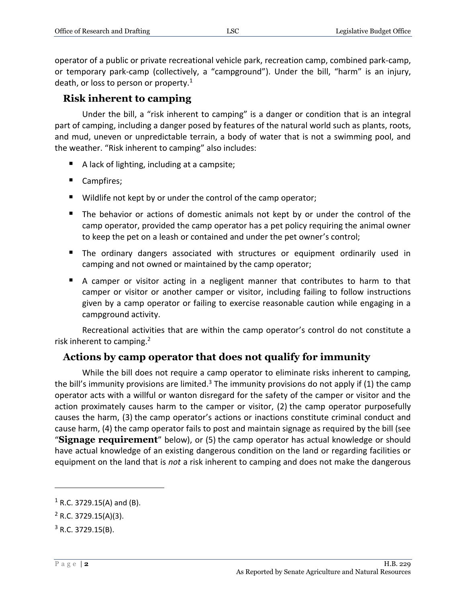operator of a public or private recreational vehicle park, recreation camp, combined park-camp, or temporary park-camp (collectively, a "campground"). Under the bill, "harm" is an injury, death, or loss to person or property. $1$ 

#### **Risk inherent to camping**

Under the bill, a "risk inherent to camping" is a danger or condition that is an integral part of camping, including a danger posed by features of the natural world such as plants, roots, and mud, uneven or unpredictable terrain, a body of water that is not a swimming pool, and the weather. "Risk inherent to camping" also includes:

- A lack of lighting, including at a campsite;
- Campfires;
- Wildlife not kept by or under the control of the camp operator;
- The behavior or actions of domestic animals not kept by or under the control of the camp operator, provided the camp operator has a pet policy requiring the animal owner to keep the pet on a leash or contained and under the pet owner's control;
- The ordinary dangers associated with structures or equipment ordinarily used in camping and not owned or maintained by the camp operator;
- A camper or visitor acting in a negligent manner that contributes to harm to that camper or visitor or another camper or visitor, including failing to follow instructions given by a camp operator or failing to exercise reasonable caution while engaging in a campground activity.

Recreational activities that are within the camp operator's control do not constitute a risk inherent to camping.<sup>2</sup>

#### **Actions by camp operator that does not qualify for immunity**

While the bill does not require a camp operator to eliminate risks inherent to camping, the bill's immunity provisions are limited.<sup>3</sup> The immunity provisions do not apply if (1) the camp operator acts with a willful or wanton disregard for the safety of the camper or visitor and the action proximately causes harm to the camper or visitor, (2) the camp operator purposefully causes the harm, (3) the camp operator's actions or inactions constitute criminal conduct and cause harm, (4) the camp operator fails to post and maintain signage as required by the bill (see "**Signage requirement**" below), or (5) the camp operator has actual knowledge or should have actual knowledge of an existing dangerous condition on the land or regarding facilities or equipment on the land that is *not* a risk inherent to camping and does not make the dangerous

 $\overline{a}$ 

 $1$  R.C. 3729.15(A) and (B).

 $2$  R.C. 3729.15(A)(3).

 $3$  R.C. 3729.15(B).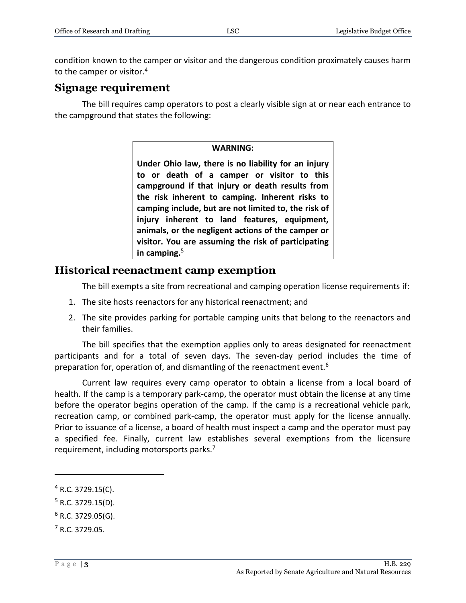condition known to the camper or visitor and the dangerous condition proximately causes harm to the camper or visitor.<sup>4</sup>

#### **Signage requirement**

The bill requires camp operators to post a clearly visible sign at or near each entrance to the campground that states the following:

#### **WARNING:**

**Under Ohio law, there is no liability for an injury to or death of a camper or visitor to this campground if that injury or death results from the risk inherent to camping. Inherent risks to camping include, but are not limited to, the risk of injury inherent to land features, equipment, animals, or the negligent actions of the camper or visitor. You are assuming the risk of participating in camping.** 5

#### **Historical reenactment camp exemption**

The bill exempts a site from recreational and camping operation license requirements if:

- 1. The site hosts reenactors for any historical reenactment; and
- 2. The site provides parking for portable camping units that belong to the reenactors and their families.

The bill specifies that the exemption applies only to areas designated for reenactment participants and for a total of seven days. The seven-day period includes the time of preparation for, operation of, and dismantling of the reenactment event.<sup>6</sup>

Current law requires every camp operator to obtain a license from a local board of health. If the camp is a temporary park-camp, the operator must obtain the license at any time before the operator begins operation of the camp. If the camp is a recreational vehicle park, recreation camp, or combined park-camp, the operator must apply for the license annually. Prior to issuance of a license, a board of health must inspect a camp and the operator must pay a specified fee. Finally, current law establishes several exemptions from the licensure requirement, including motorsports parks.<sup>7</sup>

 $\overline{a}$ 

 $4$  R.C. 3729.15(C).

 $5$  R.C. 3729.15(D).

 $6$  R.C. 3729.05(G).

<sup>7</sup> R.C. 3729.05.